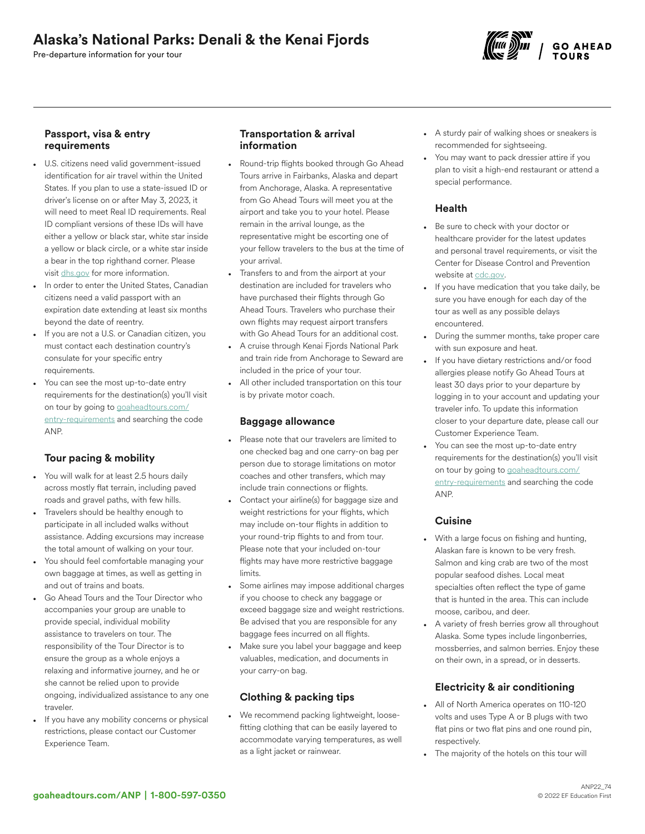# Alaska's National Parks: Denali & the Kenai Fjords

Pre-departure information for your tour



### Passport, visa & entry requirements

- U.S. citizens need valid government-issued identification for air travel within the United States. If you plan to use a state-issued ID or driver's license on or after May 3, 2023, it will need to meet Real ID requirements. Real ID compliant versions of these IDs will have either a yellow or black star, white star inside a yellow or black circle, or a white star inside a bear in the top righthand corner. Please visit [dhs.gov](https://www.dhs.gov/real-id-frequently-asked-questions) for more information.
- In order to enter the United States, Canadian citizens need a valid passport with an expiration date extending at least six months beyond the date of reentry.
- If you are not a U.S. or Canadian citizen, you must contact each destination country's consulate for your specific entry requirements.
- You can see the most up-to-date entry requirements for the destination(s) you'll visit on tour by going to [goaheadtours.com/](/entry-requirements?tourCode=ANP) [entry-requirements](/entry-requirements?tourCode=ANP) and searching the code ANP.

## Tour pacing & mobility

- You will walk for at least 2.5 hours daily across mostly flat terrain, including paved roads and gravel paths, with few hills.
- Travelers should be healthy enough to participate in all included walks without assistance. Adding excursions may increase the total amount of walking on your tour.
- You should feel comfortable managing your own baggage at times, as well as getting in and out of trains and boats.
- Go Ahead Tours and the Tour Director who accompanies your group are unable to provide special, individual mobility assistance to travelers on tour. The responsibility of the Tour Director is to ensure the group as a whole enjoys a relaxing and informative journey, and he or she cannot be relied upon to provide ongoing, individualized assistance to any one traveler.
- If you have any mobility concerns or physical restrictions, please contact our Customer Experience Team.

## Transportation & arrival information

- Round-trip flights booked through Go Ahead Tours arrive in Fairbanks, Alaska and depart from Anchorage, Alaska. A representative from Go Ahead Tours will meet you at the airport and take you to your hotel. Please remain in the arrival lounge, as the representative might be escorting one of your fellow travelers to the bus at the time of your arrival.
- Transfers to and from the airport at your destination are included for travelers who have purchased their flights through Go Ahead Tours. Travelers who purchase their own flights may request airport transfers with Go Ahead Tours for an additional cost.
- A cruise through Kenai Fjords National Park and train ride from Anchorage to Seward are included in the price of your tour.
- All other included transportation on this tour is by private motor coach.

### Baggage allowance

- Please note that our travelers are limited to one checked bag and one carry-on bag per person due to storage limitations on motor coaches and other transfers, which may include train connections or flights.
- Contact your airline(s) for baggage size and weight restrictions for your flights, which may include on-tour flights in addition to your round-trip flights to and from tour. Please note that your included on-tour flights may have more restrictive baggage limits.
- Some airlines may impose additional charges if you choose to check any baggage or exceed baggage size and weight restrictions. Be advised that you are responsible for any baggage fees incurred on all flights.
- Make sure you label your baggage and keep valuables, medication, and documents in your carry-on bag.

## Clothing & packing tips

• We recommend packing lightweight, loosefitting clothing that can be easily layered to accommodate varying temperatures, as well as a light jacket or rainwear.

- A sturdy pair of walking shoes or sneakers is recommended for sightseeing.
- You may want to pack dressier attire if you plan to visit a high-end restaurant or attend a special performance.

## Health

- Be sure to check with your doctor or healthcare provider for the latest updates and personal travel requirements, or visit the Center for Disease Control and Prevention website at [cdc.gov.](https://www.cdc.gov/)
- If you have medication that you take daily, be sure you have enough for each day of the tour as well as any possible delays encountered.
- During the summer months, take proper care with sun exposure and heat.
- If you have dietary restrictions and/or food allergies please notify Go Ahead Tours at least 30 days prior to your departure by logging in to your account and updating your traveler info. To update this information closer to your departure date, please call our Customer Experience Team.
- You can see the most up-to-date entry requirements for the destination(s) you'll visit on tour by going to [goaheadtours.com/](/entry-requirements?tourCode=ANP) [entry-requirements](/entry-requirements?tourCode=ANP) and searching the code ANP.

## Cuisine

- With a large focus on fishing and hunting, Alaskan fare is known to be very fresh. Salmon and king crab are two of the most popular seafood dishes. Local meat specialties often reflect the type of game that is hunted in the area. This can include moose, caribou, and deer.
- A variety of fresh berries grow all throughout Alaska. Some types include lingonberries, mossberries, and salmon berries. Enjoy these on their own, in a spread, or in desserts.

## Electricity & air conditioning

- All of North America operates on 110-120 volts and uses Type A or B plugs with two flat pins or two flat pins and one round pin, respectively.
- The majority of the hotels on this tour will